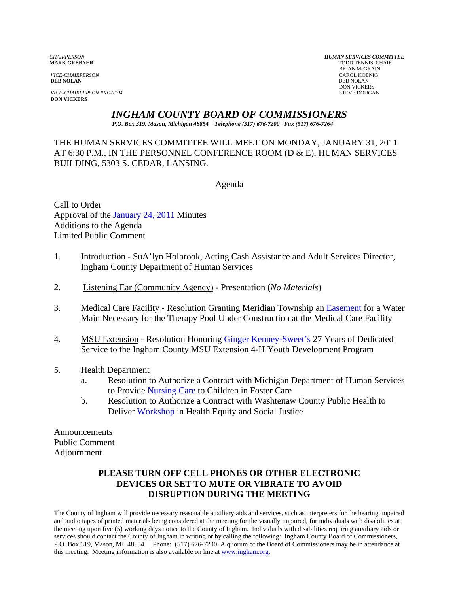*VICE-CHAIRPERSON* CAROL KOENIG CAROL KOENIG AND CAROL KOENIG CAROL KOENIG CAROL KOENIG CAROL KOENIG CAROL KOEN<br>**DEB NOLAN** DEB NOLAN **DEB NOLAN** DEB NOLAN

**VICE-CHAIRPERSON PRO-TEM** STEVE DOUGAN **DON VICKERS** 

*CHAIRPERSON HUMAN SERVICES COMMITTEE* **TODD TENNIS, CHAIR** BRIAN McGRAIN<br>CAROL KOENIG DON VICKERS

*INGHAM COUNTY BOARD OF COMMISSIONERS* 

*P.O. Box 319. Mason, Michigan 48854 Telephone (517) 676-7200 Fax (517) 676-7264*

THE HUMAN SERVICES COMMITTEE WILL MEET ON MONDAY, JANUARY 31, 2011 AT 6:30 P.M., IN THE PERSONNEL CONFERENCE ROOM (D & E), HUMAN SERVICES BUILDING, 5303 S. CEDAR, LANSING.

Agenda

Call to Order Approval of t[he January 24, 2011 Minutes](#page-1-0)  Additions to the Agenda Limited Public Comment

- 1. Introduction SuA'lyn Holbrook, Acting Cash Assistance and Adult Services Director, Ingham County Department of Human Services
- 2. Listening Ear (Community Agency) Presentation (*No Materials*)
- 3. Medical Care Facility Resolution Granting Meridian Township [an Easement for a Wa](#page-5-0)ter Main Necessary for the Therapy Pool Under Construction at the Medical Care Facility
- 4. MSU Extension Resolution Honor[ing Ginger Kenney-Sweet's 2](#page-8-0)7 Years of Dedicated Service to the Ingham County MSU Extension 4-H Youth Development Program
- 5. Health Department
	- a. Resolution to Authorize a Contract with Michigan Department of Human Services to Provi[de Nursing Care to Ch](#page-9-0)ildren in Foster Care
	- b. Resolution to Authorize a Contract with Washtenaw County Public Health to Deliv[er Workshop in Health E](#page-12-0)quity and Social Justice

Announcements Public Comment Adjournment

# **PLEASE TURN OFF CELL PHONES OR OTHER ELECTRONIC DEVICES OR SET TO MUTE OR VIBRATE TO AVOID DISRUPTION DURING THE MEETING**

The County of Ingham will provide necessary reasonable auxiliary aids and services, such as interpreters for the hearing impaired and audio tapes of printed materials being considered at the meeting for the visually impaired, for individuals with disabilities at the meeting upon five (5) working days notice to the County of Ingham. Individuals with disabilities requiring auxiliary aids or services should contact the County of Ingham in writing or by calling the following: Ingham County Board of Commissioners, P.O. Box 319, Mason, MI 48854 Phone: (517) 676-7200. A quorum of the Board of Commissioners may be in attendance at this meeting. Meeting information is also available on line at www.ingham.org.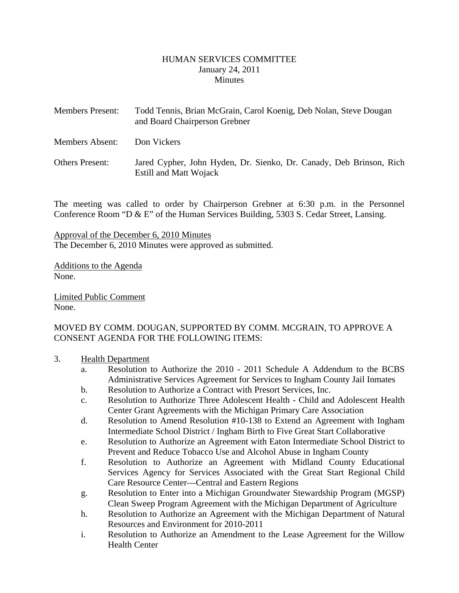#### HUMAN SERVICES COMMITTEE January 24, 2011 **Minutes**

<span id="page-1-0"></span>

| <b>Members Present:</b> | Todd Tennis, Brian McGrain, Carol Koenig, Deb Nolan, Steve Dougan<br>and Board Chairperson Grebner   |
|-------------------------|------------------------------------------------------------------------------------------------------|
| Members Absent:         | Don Vickers                                                                                          |
| <b>Others Present:</b>  | Jared Cypher, John Hyden, Dr. Sienko, Dr. Canady, Deb Brinson, Rich<br><b>Estill and Matt Wojack</b> |

The meeting was called to order by Chairperson Grebner at 6:30 p.m. in the Personnel Conference Room "D & E" of the Human Services Building, 5303 S. Cedar Street, Lansing.

Approval of the December 6, 2010 Minutes The December 6, 2010 Minutes were approved as submitted.

Additions to the Agenda None.

Limited Public Comment None.

## MOVED BY COMM. DOUGAN, SUPPORTED BY COMM. MCGRAIN, TO APPROVE A CONSENT AGENDA FOR THE FOLLOWING ITEMS:

#### 3. Health Department

- a. Resolution to Authorize the 2010 2011 Schedule A Addendum to the BCBS Administrative Services Agreement for Services to Ingham County Jail Inmates
- b. Resolution to Authorize a Contract with Presort Services, Inc.
- c. Resolution to Authorize Three Adolescent Health Child and Adolescent Health Center Grant Agreements with the Michigan Primary Care Association
- d. Resolution to Amend Resolution #10-138 to Extend an Agreement with Ingham Intermediate School District / Ingham Birth to Five Great Start Collaborative
- e. Resolution to Authorize an Agreement with Eaton Intermediate School District to Prevent and Reduce Tobacco Use and Alcohol Abuse in Ingham County
- f. Resolution to Authorize an Agreement with Midland County Educational Services Agency for Services Associated with the Great Start Regional Child Care Resource Center—Central and Eastern Regions
- g. Resolution to Enter into a Michigan Groundwater Stewardship Program (MGSP) Clean Sweep Program Agreement with the Michigan Department of Agriculture
- h. Resolution to Authorize an Agreement with the Michigan Department of Natural Resources and Environment for 2010-2011
- i. Resolution to Authorize an Amendment to the Lease Agreement for the Willow Health Center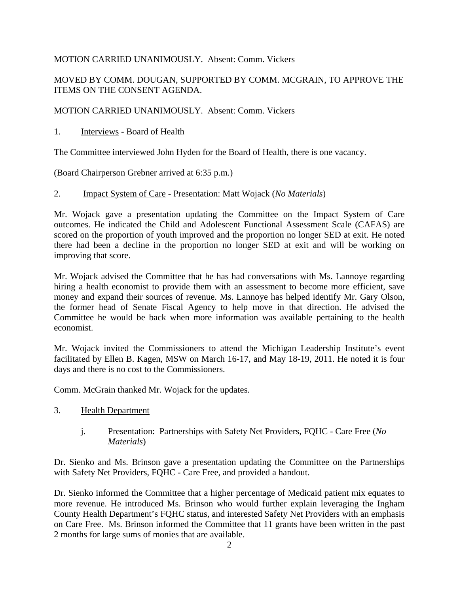## MOTION CARRIED UNANIMOUSLY. Absent: Comm. Vickers

# MOVED BY COMM. DOUGAN, SUPPORTED BY COMM. MCGRAIN, TO APPROVE THE ITEMS ON THE CONSENT AGENDA.

MOTION CARRIED UNANIMOUSLY. Absent: Comm. Vickers

1. Interviews - Board of Health

The Committee interviewed John Hyden for the Board of Health, there is one vacancy.

(Board Chairperson Grebner arrived at 6:35 p.m.)

2. Impact System of Care - Presentation: Matt Wojack (*No Materials*)

Mr. Wojack gave a presentation updating the Committee on the Impact System of Care outcomes. He indicated the Child and Adolescent Functional Assessment Scale (CAFAS) are scored on the proportion of youth improved and the proportion no longer SED at exit. He noted there had been a decline in the proportion no longer SED at exit and will be working on improving that score.

Mr. Wojack advised the Committee that he has had conversations with Ms. Lannoye regarding hiring a health economist to provide them with an assessment to become more efficient, save money and expand their sources of revenue. Ms. Lannoye has helped identify Mr. Gary Olson, the former head of Senate Fiscal Agency to help move in that direction. He advised the Committee he would be back when more information was available pertaining to the health economist.

Mr. Wojack invited the Commissioners to attend the Michigan Leadership Institute's event facilitated by Ellen B. Kagen, MSW on March 16-17, and May 18-19, 2011. He noted it is four days and there is no cost to the Commissioners.

Comm. McGrain thanked Mr. Wojack for the updates.

- 3. Health Department
	- j. Presentation: Partnerships with Safety Net Providers, FQHC Care Free (*No Materials*)

Dr. Sienko and Ms. Brinson gave a presentation updating the Committee on the Partnerships with Safety Net Providers, FQHC - Care Free, and provided a handout.

Dr. Sienko informed the Committee that a higher percentage of Medicaid patient mix equates to more revenue. He introduced Ms. Brinson who would further explain leveraging the Ingham County Health Department's FQHC status, and interested Safety Net Providers with an emphasis on Care Free. Ms. Brinson informed the Committee that 11 grants have been written in the past 2 months for large sums of monies that are available.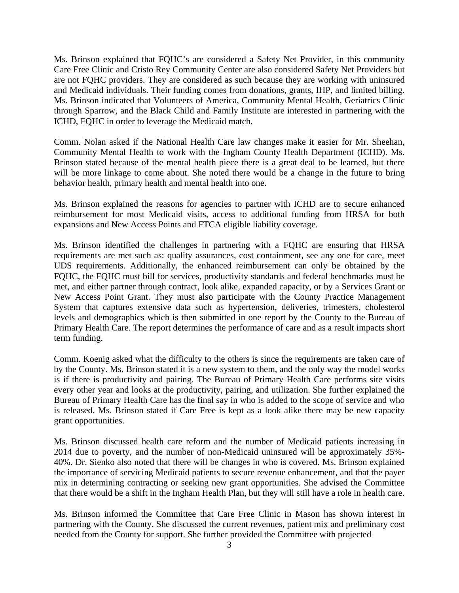Ms. Brinson explained that FQHC's are considered a Safety Net Provider, in this community Care Free Clinic and Cristo Rey Community Center are also considered Safety Net Providers but are not FQHC providers. They are considered as such because they are working with uninsured and Medicaid individuals. Their funding comes from donations, grants, IHP, and limited billing. Ms. Brinson indicated that Volunteers of America, Community Mental Health, Geriatrics Clinic through Sparrow, and the Black Child and Family Institute are interested in partnering with the ICHD, FQHC in order to leverage the Medicaid match.

Comm. Nolan asked if the National Health Care law changes make it easier for Mr. Sheehan, Community Mental Health to work with the Ingham County Health Department (ICHD). Ms. Brinson stated because of the mental health piece there is a great deal to be learned, but there will be more linkage to come about. She noted there would be a change in the future to bring behavior health, primary health and mental health into one.

Ms. Brinson explained the reasons for agencies to partner with ICHD are to secure enhanced reimbursement for most Medicaid visits, access to additional funding from HRSA for both expansions and New Access Points and FTCA eligible liability coverage.

Ms. Brinson identified the challenges in partnering with a FQHC are ensuring that HRSA requirements are met such as: quality assurances, cost containment, see any one for care, meet UDS requirements. Additionally, the enhanced reimbursement can only be obtained by the FQHC, the FQHC must bill for services, productivity standards and federal benchmarks must be met, and either partner through contract, look alike, expanded capacity, or by a Services Grant or New Access Point Grant. They must also participate with the County Practice Management System that captures extensive data such as hypertension, deliveries, trimesters, cholesterol levels and demographics which is then submitted in one report by the County to the Bureau of Primary Health Care. The report determines the performance of care and as a result impacts short term funding.

Comm. Koenig asked what the difficulty to the others is since the requirements are taken care of by the County. Ms. Brinson stated it is a new system to them, and the only way the model works is if there is productivity and pairing. The Bureau of Primary Health Care performs site visits every other year and looks at the productivity, pairing, and utilization. She further explained the Bureau of Primary Health Care has the final say in who is added to the scope of service and who is released. Ms. Brinson stated if Care Free is kept as a look alike there may be new capacity grant opportunities.

Ms. Brinson discussed health care reform and the number of Medicaid patients increasing in 2014 due to poverty, and the number of non-Medicaid uninsured will be approximately 35%- 40%. Dr. Sienko also noted that there will be changes in who is covered. Ms. Brinson explained the importance of servicing Medicaid patients to secure revenue enhancement, and that the payer mix in determining contracting or seeking new grant opportunities. She advised the Committee that there would be a shift in the Ingham Health Plan, but they will still have a role in health care.

Ms. Brinson informed the Committee that Care Free Clinic in Mason has shown interest in partnering with the County. She discussed the current revenues, patient mix and preliminary cost needed from the County for support. She further provided the Committee with projected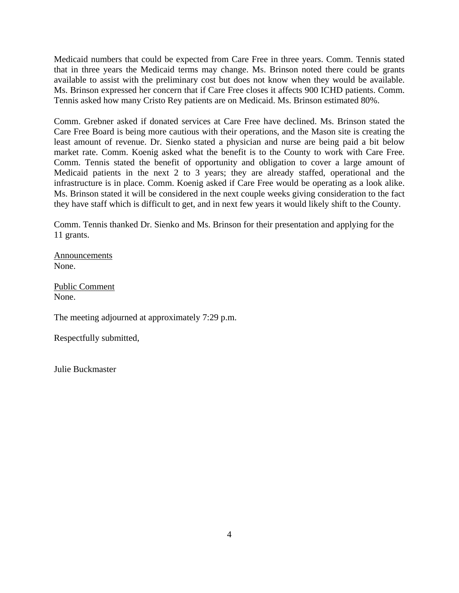Medicaid numbers that could be expected from Care Free in three years. Comm. Tennis stated that in three years the Medicaid terms may change. Ms. Brinson noted there could be grants available to assist with the preliminary cost but does not know when they would be available. Ms. Brinson expressed her concern that if Care Free closes it affects 900 ICHD patients. Comm. Tennis asked how many Cristo Rey patients are on Medicaid. Ms. Brinson estimated 80%.

Comm. Grebner asked if donated services at Care Free have declined. Ms. Brinson stated the Care Free Board is being more cautious with their operations, and the Mason site is creating the least amount of revenue. Dr. Sienko stated a physician and nurse are being paid a bit below market rate. Comm. Koenig asked what the benefit is to the County to work with Care Free. Comm. Tennis stated the benefit of opportunity and obligation to cover a large amount of Medicaid patients in the next 2 to 3 years; they are already staffed, operational and the infrastructure is in place. Comm. Koenig asked if Care Free would be operating as a look alike. Ms. Brinson stated it will be considered in the next couple weeks giving consideration to the fact they have staff which is difficult to get, and in next few years it would likely shift to the County.

Comm. Tennis thanked Dr. Sienko and Ms. Brinson for their presentation and applying for the 11 grants.

Announcements None.

Public Comment None.

The meeting adjourned at approximately 7:29 p.m.

Respectfully submitted,

Julie Buckmaster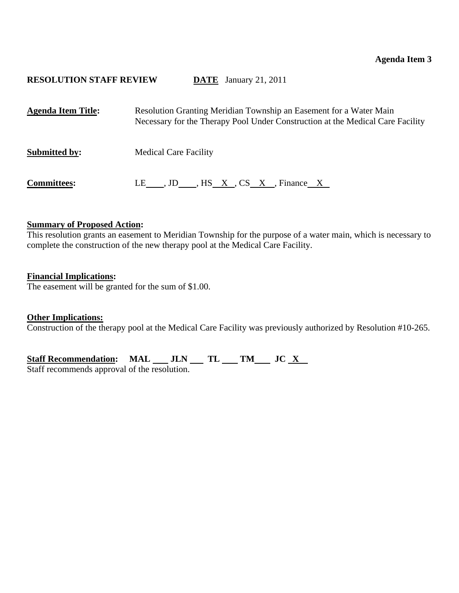# <span id="page-5-0"></span>**RESOLUTION STAFF REVIEW DATE** January 21, 2011

| <b>Agenda Item Title:</b> | Resolution Granting Meridian Township an Easement for a Water Main<br>Necessary for the Therapy Pool Under Construction at the Medical Care Facility |
|---------------------------|------------------------------------------------------------------------------------------------------------------------------------------------------|
| <b>Submitted by:</b>      | <b>Medical Care Facility</b>                                                                                                                         |
| <b>Committees:</b>        | LE , JD , HS $X$ , CS $X$ , Finance $X$                                                                                                              |

## **Summary of Proposed Action:**

This resolution grants an easement to Meridian Township for the purpose of a water main, which is necessary to complete the construction of the new therapy pool at the Medical Care Facility.

## **Financial Implications:**

The easement will be granted for the sum of \$1.00.

#### **Other Implications:**

Construction of the therapy pool at the Medical Care Facility was previously authorized by Resolution #10-265.

Staff Recommendation: MAL \_\_ JLN \_\_ TL \_\_ TM \_\_ JC <u>X</u>

Staff recommends approval of the resolution.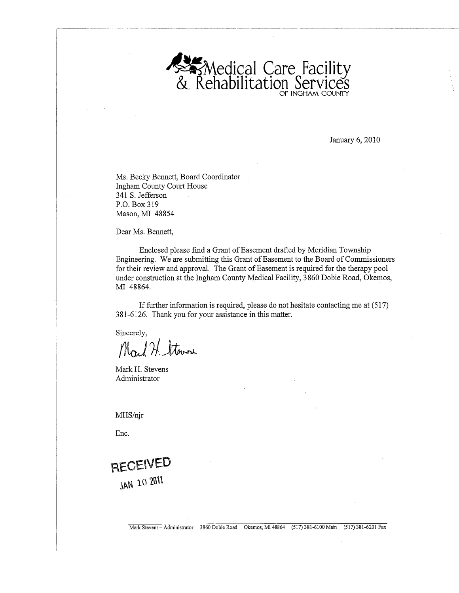

January 6, 2010

Ms. Becky Bennett, Board Coordinator **Ingham County Court House** 341 S. Jefferson P.O. Box 319 Mason, MI 48854

Dear Ms. Bennett,

Enclosed please find a Grant of Easement drafted by Meridian Township Engineering. We are submitting this Grant of Easement to the Board of Commissioners for their review and approval. The Grant of Easement is required for the therapy pool under construction at the Ingham County Medical Facility, 3860 Dobie Road, Okemos, MI 48864.

If further information is required, please do not hesitate contacting me at (517) 381-6126. Thank you for your assistance in this matter.

Sincerely,

Mart H. Stowar

Mark H. Stevens Administrator

MHS/njr

Enc.

RECEIVED **JAN 10 2011**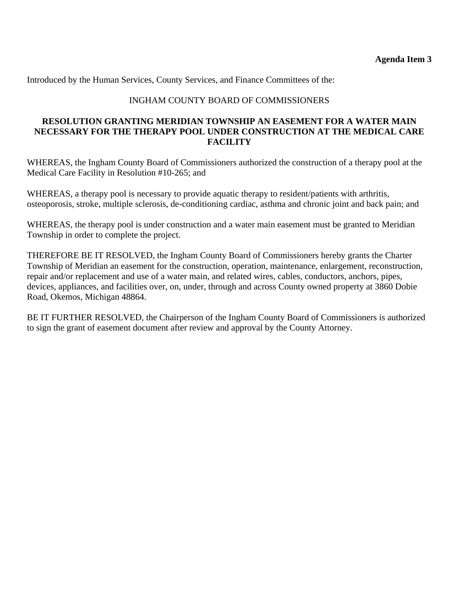Introduced by the Human Services, County Services, and Finance Committees of the:

# INGHAM COUNTY BOARD OF COMMISSIONERS

## **RESOLUTION GRANTING MERIDIAN TOWNSHIP AN EASEMENT FOR A WATER MAIN NECESSARY FOR THE THERAPY POOL UNDER CONSTRUCTION AT THE MEDICAL CARE FACILITY**

WHEREAS, the Ingham County Board of Commissioners authorized the construction of a therapy pool at the Medical Care Facility in Resolution #10-265; and

WHEREAS, a therapy pool is necessary to provide aquatic therapy to resident/patients with arthritis, osteoporosis, stroke, multiple sclerosis, de-conditioning cardiac, asthma and chronic joint and back pain; and

WHEREAS, the therapy pool is under construction and a water main easement must be granted to Meridian Township in order to complete the project.

THEREFORE BE IT RESOLVED, the Ingham County Board of Commissioners hereby grants the Charter Township of Meridian an easement for the construction, operation, maintenance, enlargement, reconstruction, repair and/or replacement and use of a water main, and related wires, cables, conductors, anchors, pipes, devices, appliances, and facilities over, on, under, through and across County owned property at 3860 Dobie Road, Okemos, Michigan 48864.

BE IT FURTHER RESOLVED, the Chairperson of the Ingham County Board of Commissioners is authorized to sign the grant of easement document after review and approval by the County Attorney.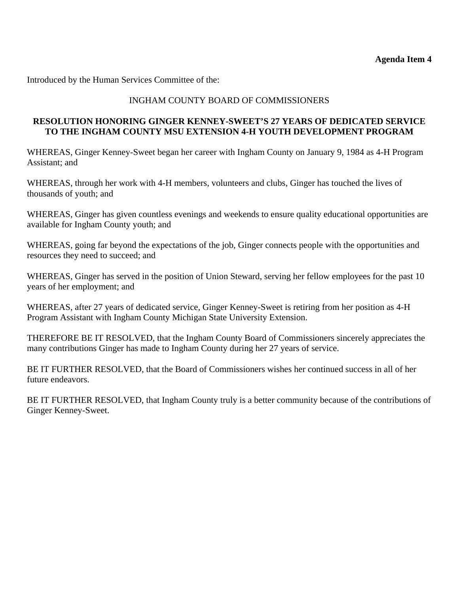<span id="page-8-0"></span>Introduced by the Human Services Committee of the:

# INGHAM COUNTY BOARD OF COMMISSIONERS

# **RESOLUTION HONORING GINGER KENNEY-SWEET'S 27 YEARS OF DEDICATED SERVICE TO THE INGHAM COUNTY MSU EXTENSION 4-H YOUTH DEVELOPMENT PROGRAM**

WHEREAS, Ginger Kenney-Sweet began her career with Ingham County on January 9, 1984 as 4-H Program Assistant; and

WHEREAS, through her work with 4-H members, volunteers and clubs, Ginger has touched the lives of thousands of youth; and

WHEREAS, Ginger has given countless evenings and weekends to ensure quality educational opportunities are available for Ingham County youth; and

WHEREAS, going far beyond the expectations of the job, Ginger connects people with the opportunities and resources they need to succeed; and

WHEREAS, Ginger has served in the position of Union Steward, serving her fellow employees for the past 10 years of her employment; and

WHEREAS, after 27 years of dedicated service, Ginger Kenney-Sweet is retiring from her position as 4-H Program Assistant with Ingham County Michigan State University Extension.

THEREFORE BE IT RESOLVED, that the Ingham County Board of Commissioners sincerely appreciates the many contributions Ginger has made to Ingham County during her 27 years of service.

BE IT FURTHER RESOLVED, that the Board of Commissioners wishes her continued success in all of her future endeavors.

BE IT FURTHER RESOLVED, that Ingham County truly is a better community because of the contributions of Ginger Kenney-Sweet.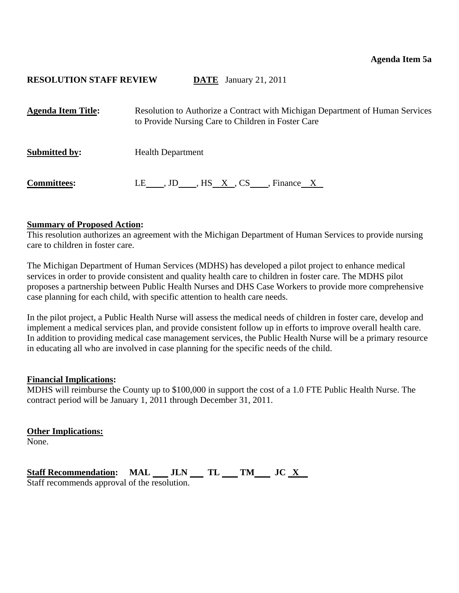## <span id="page-9-0"></span>**RESOLUTION STAFF REVIEW DATE** January 21, 2011

| <b>Agenda Item Title:</b> | Resolution to Authorize a Contract with Michigan Department of Human Services<br>to Provide Nursing Care to Children in Foster Care |
|---------------------------|-------------------------------------------------------------------------------------------------------------------------------------|
| <b>Submitted by:</b>      | <b>Health Department</b>                                                                                                            |
| <b>Committees:</b>        | LE , JD , HS X, CS , Finance X                                                                                                      |

#### **Summary of Proposed Action:**

This resolution authorizes an agreement with the Michigan Department of Human Services to provide nursing care to children in foster care.

The Michigan Department of Human Services (MDHS) has developed a pilot project to enhance medical services in order to provide consistent and quality health care to children in foster care. The MDHS pilot proposes a partnership between Public Health Nurses and DHS Case Workers to provide more comprehensive case planning for each child, with specific attention to health care needs.

In the pilot project, a Public Health Nurse will assess the medical needs of children in foster care, develop and implement a medical services plan, and provide consistent follow up in efforts to improve overall health care. In addition to providing medical case management services, the Public Health Nurse will be a primary resource in educating all who are involved in case planning for the specific needs of the child.

#### **Financial Implications:**

MDHS will reimburse the County up to \$100,000 in support the cost of a 1.0 FTE Public Health Nurse. The contract period will be January 1, 2011 through December 31, 2011.

**Other Implications:**

None.

Staff Recommendation: MAL \_\_ JLN \_\_ TL \_\_ TM \_\_ JC <u>X</u> Staff recommends approval of the resolution.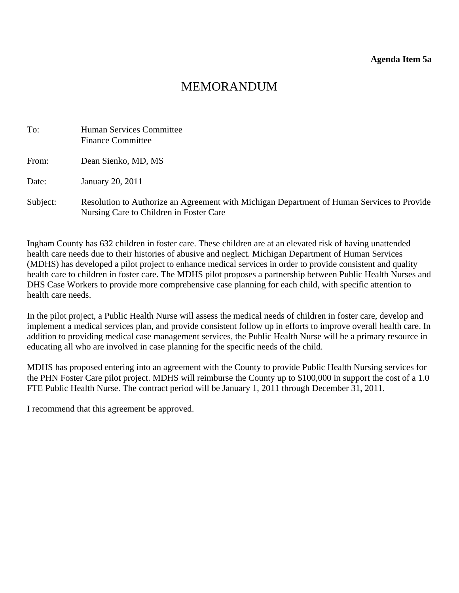# MEMORANDUM

| To:      | Human Services Committee<br><b>Finance Committee</b>                                                                                  |
|----------|---------------------------------------------------------------------------------------------------------------------------------------|
| From:    | Dean Sienko, MD, MS                                                                                                                   |
| Date:    | January 20, 2011                                                                                                                      |
| Subject: | Resolution to Authorize an Agreement with Michigan Department of Human Services to Provide<br>Nursing Care to Children in Foster Care |

Ingham County has 632 children in foster care. These children are at an elevated risk of having unattended health care needs due to their histories of abusive and neglect. Michigan Department of Human Services (MDHS) has developed a pilot project to enhance medical services in order to provide consistent and quality health care to children in foster care. The MDHS pilot proposes a partnership between Public Health Nurses and DHS Case Workers to provide more comprehensive case planning for each child, with specific attention to health care needs.

In the pilot project, a Public Health Nurse will assess the medical needs of children in foster care, develop and implement a medical services plan, and provide consistent follow up in efforts to improve overall health care. In addition to providing medical case management services, the Public Health Nurse will be a primary resource in educating all who are involved in case planning for the specific needs of the child.

MDHS has proposed entering into an agreement with the County to provide Public Health Nursing services for the PHN Foster Care pilot project. MDHS will reimburse the County up to \$100,000 in support the cost of a 1.0 FTE Public Health Nurse. The contract period will be January 1, 2011 through December 31, 2011.

I recommend that this agreement be approved.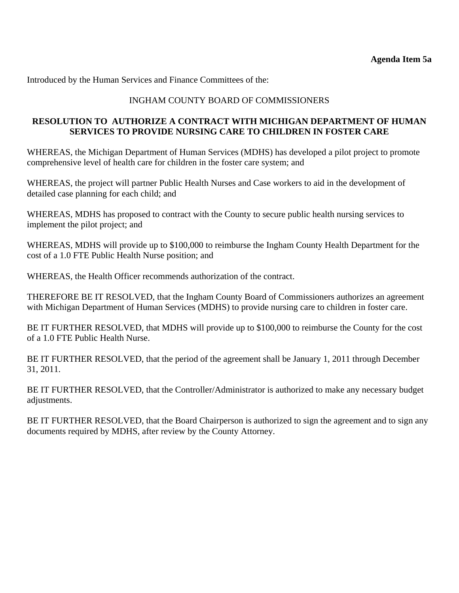Introduced by the Human Services and Finance Committees of the:

# INGHAM COUNTY BOARD OF COMMISSIONERS

# **RESOLUTION TO AUTHORIZE A CONTRACT WITH MICHIGAN DEPARTMENT OF HUMAN SERVICES TO PROVIDE NURSING CARE TO CHILDREN IN FOSTER CARE**

WHEREAS, the Michigan Department of Human Services (MDHS) has developed a pilot project to promote comprehensive level of health care for children in the foster care system; and

WHEREAS, the project will partner Public Health Nurses and Case workers to aid in the development of detailed case planning for each child; and

WHEREAS, MDHS has proposed to contract with the County to secure public health nursing services to implement the pilot project; and

WHEREAS, MDHS will provide up to \$100,000 to reimburse the Ingham County Health Department for the cost of a 1.0 FTE Public Health Nurse position; and

WHEREAS, the Health Officer recommends authorization of the contract.

THEREFORE BE IT RESOLVED, that the Ingham County Board of Commissioners authorizes an agreement with Michigan Department of Human Services (MDHS) to provide nursing care to children in foster care.

BE IT FURTHER RESOLVED, that MDHS will provide up to \$100,000 to reimburse the County for the cost of a 1.0 FTE Public Health Nurse.

BE IT FURTHER RESOLVED, that the period of the agreement shall be January 1, 2011 through December 31, 2011.

BE IT FURTHER RESOLVED, that the Controller/Administrator is authorized to make any necessary budget adjustments.

BE IT FURTHER RESOLVED, that the Board Chairperson is authorized to sign the agreement and to sign any documents required by MDHS, after review by the County Attorney.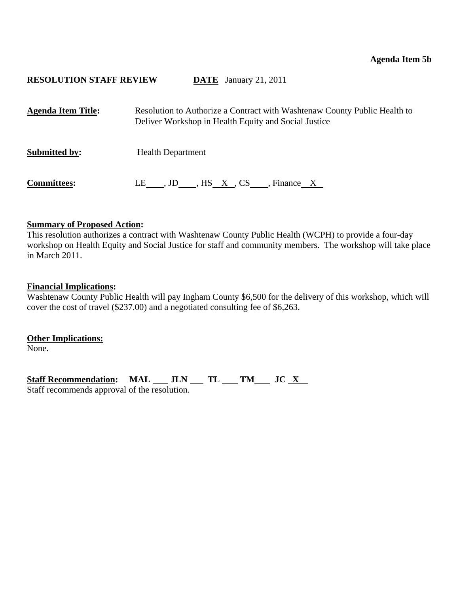## <span id="page-12-0"></span>**RESOLUTION STAFF REVIEW DATE** January 21, 2011

| <b>Agenda Item Title:</b> | Resolution to Authorize a Contract with Washtenaw County Public Health to<br>Deliver Workshop in Health Equity and Social Justice |
|---------------------------|-----------------------------------------------------------------------------------------------------------------------------------|
| <b>Submitted by:</b>      | <b>Health Department</b>                                                                                                          |
| <b>Committees:</b>        | LE , JD , HS $X_{\cdot}$ , CS , Finance X                                                                                         |

#### **Summary of Proposed Action:**

This resolution authorizes a contract with Washtenaw County Public Health (WCPH) to provide a four-day workshop on Health Equity and Social Justice for staff and community members. The workshop will take place in March 2011.

#### **Financial Implications:**

Washtenaw County Public Health will pay Ingham County \$6,500 for the delivery of this workshop, which will cover the cost of travel (\$237.00) and a negotiated consulting fee of \$6,263.

**Other Implications:**

None.

Staff Recommendation: MAL \_\_ JLN \_\_ TL \_\_ TM \_\_ JC <u>X</u> Staff recommends approval of the resolution.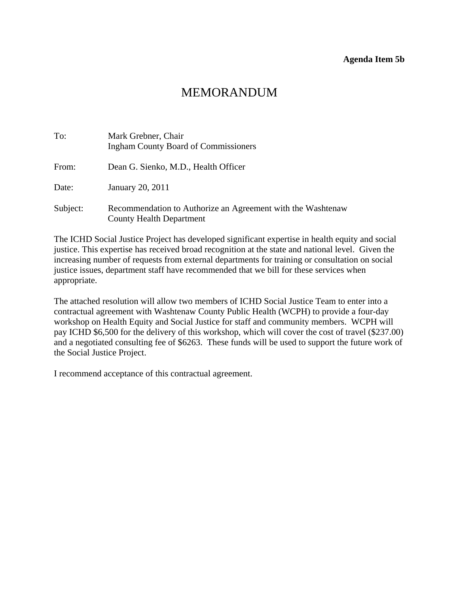#### **Agenda Item 5b**

# MEMORANDUM

| To:      | Mark Grebner, Chair<br><b>Ingham County Board of Commissioners</b>                             |
|----------|------------------------------------------------------------------------------------------------|
| From:    | Dean G. Sienko, M.D., Health Officer                                                           |
| Date:    | January 20, 2011                                                                               |
| Subject: | Recommendation to Authorize an Agreement with the Washtenaw<br><b>County Health Department</b> |

The ICHD Social Justice Project has developed significant expertise in health equity and social justice. This expertise has received broad recognition at the state and national level. Given the increasing number of requests from external departments for training or consultation on social justice issues, department staff have recommended that we bill for these services when appropriate.

The attached resolution will allow two members of ICHD Social Justice Team to enter into a contractual agreement with Washtenaw County Public Health (WCPH) to provide a four-day workshop on Health Equity and Social Justice for staff and community members. WCPH will pay ICHD \$6,500 for the delivery of this workshop, which will cover the cost of travel (\$237.00) and a negotiated consulting fee of \$6263. These funds will be used to support the future work of the Social Justice Project.

I recommend acceptance of this contractual agreement.